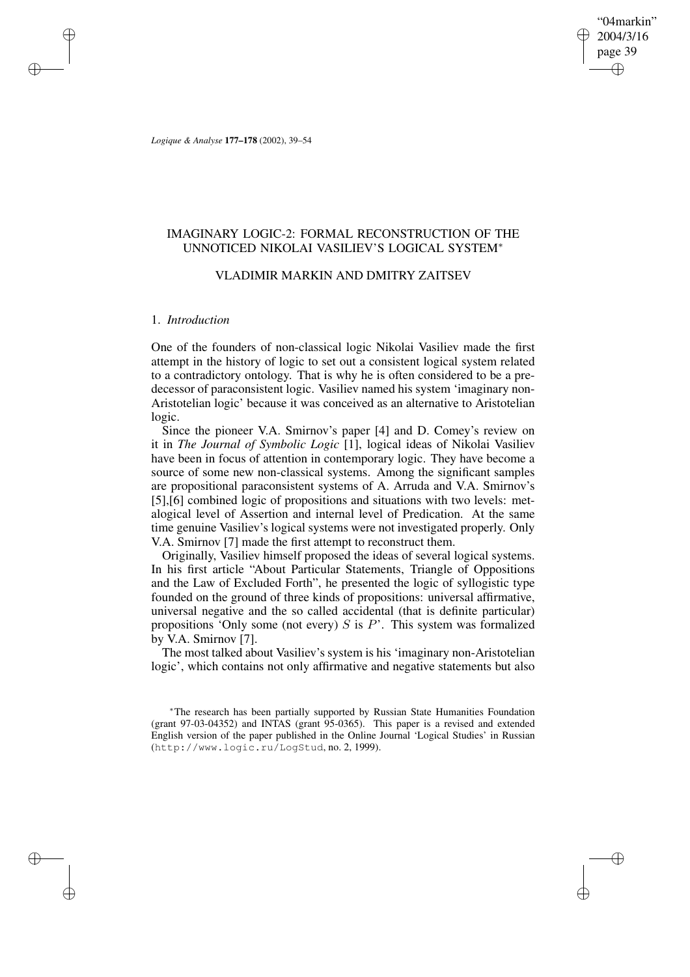"04markin" 2004/3/16 page 39 ✐ ✐

✐

✐

*Logique & Analyse* **177–178** (2002), 39–54

# IMAGINARY LOGIC-2: FORMAL RECONSTRUCTION OF THE UNNOTICED NIKOLAI VASILIEV'S LOGICAL SYSTEM<sup>∗</sup>

# VLADIMIR MARKIN AND DMITRY ZAITSEV

# 1. *Introduction*

✐

✐

✐

✐

One of the founders of non-classical logic Nikolai Vasiliev made the first attempt in the history of logic to set out a consistent logical system related to a contradictory ontology. That is why he is often considered to be a predecessor of paraconsistent logic. Vasiliev named his system 'imaginary non-Aristotelian logic' because it was conceived as an alternative to Aristotelian logic.

Since the pioneer V.A. Smirnov's paper [4] and D. Comey's review on it in *The Journal of Symbolic Logic* [1], logical ideas of Nikolai Vasiliev have been in focus of attention in contemporary logic. They have become a source of some new non-classical systems. Among the significant samples are propositional paraconsistent systems of A. Arruda and V.A. Smirnov's [5],[6] combined logic of propositions and situations with two levels: metalogical level of Assertion and internal level of Predication. At the same time genuine Vasiliev's logical systems were not investigated properly. Only V.A. Smirnov [7] made the first attempt to reconstruct them.

Originally, Vasiliev himself proposed the ideas of several logical systems. In his first article "About Particular Statements, Triangle of Oppositions and the Law of Excluded Forth", he presented the logic of syllogistic type founded on the ground of three kinds of propositions: universal affirmative, universal negative and the so called accidental (that is definite particular) propositions 'Only some (not every)  $S$  is  $P$ '. This system was formalized by V.A. Smirnov [7].

The most talked about Vasiliev's system is his 'imaginary non-Aristotelian logic', which contains not only affirmative and negative statements but also

<sup>∗</sup>The research has been partially supported by Russian State Humanities Foundation (grant 97-03-04352) and INTAS (grant 95-0365). This paper is a revised and extended English version of the paper published in the Online Journal 'Logical Studies' in Russian (http://www.logic.ru/LogStud, no. 2, 1999).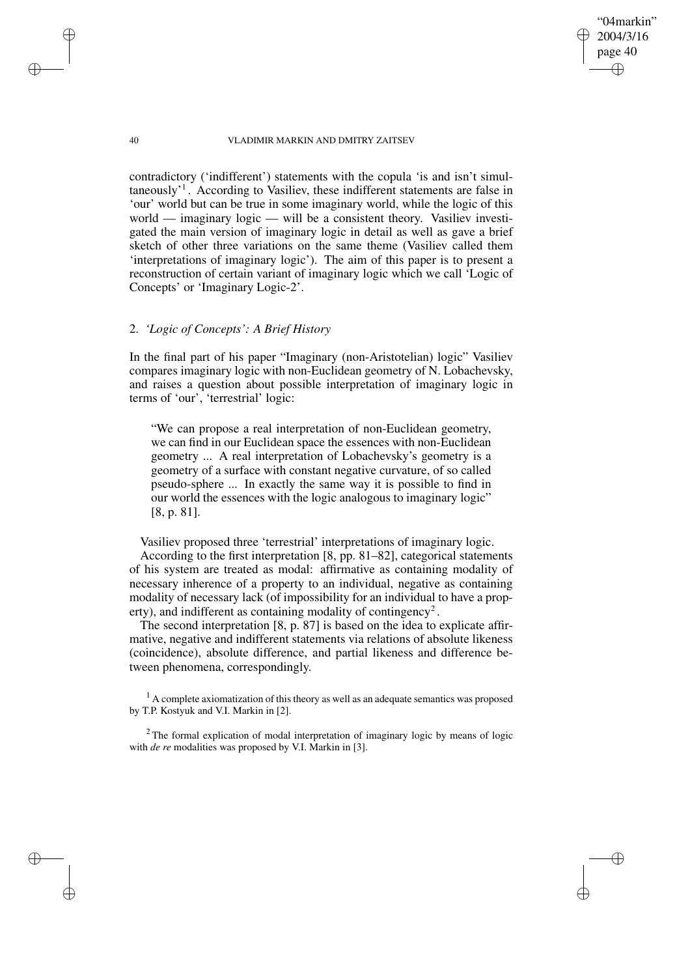"04markin" 2004/3/16 page 40

✐

✐

✐

✐

contradictory ('indifferent') statements with the copula 'is and isn't simultaneously<sup>1</sup>. According to Vasiliev, these indifferent statements are false in 'our' world but can be true in some imaginary world, while the logic of this world — imaginary  $logic$  — will be a consistent theory. Vasiliev investigated the main version of imaginary logic in detail as well as gave a brief sketch of other three variations on the same theme (Vasiliev called them 'interpretations of imaginary logic'). The aim of this paper is to present a reconstruction of certain variant of imaginary logic which we call 'Logic of Concepts' or 'Imaginary Logic-2'.

# 2. *'Logic of Concepts': A Brief History*

In the final part of his paper "Imaginary (non-Aristotelian) logic" Vasiliev compares imaginary logic with non-Euclidean geometry of N. Lobachevsky, and raises a question about possible interpretation of imaginary logic in terms of 'our', 'terrestrial' logic:

"We can propose a real interpretation of non-Euclidean geometry, we can find in our Euclidean space the essences with non-Euclidean geometry ... A real interpretation of Lobachevsky's geometry is a geometry of a surface with constant negative curvature, of so called pseudo-sphere ... In exactly the same way it is possible to find in our world the essences with the logic analogous to imaginary logic" [8, p. 81].

Vasiliev proposed three 'terrestrial' interpretations of imaginary logic.

According to the first interpretation [8, pp. 81–82], categorical statements of his system are treated as modal: affirmative as containing modality of necessary inherence of a property to an individual, negative as containing modality of necessary lack (of impossibility for an individual to have a property), and indifferent as containing modality of contingency<sup>2</sup>.

The second interpretation [8, p. 87] is based on the idea to explicate affirmative, negative and indifferent statements via relations of absolute likeness (coincidence), absolute difference, and partial likeness and difference between phenomena, correspondingly.

 $<sup>1</sup>$  A complete axiomatization of this theory as well as an adequate semantics was proposed</sup> by T.P. Kostyuk and V.I. Markin in [2].

<sup>2</sup> The formal explication of modal interpretation of imaginary logic by means of logic with *de re* modalities was proposed by V.I. Markin in [3].

✐

✐

✐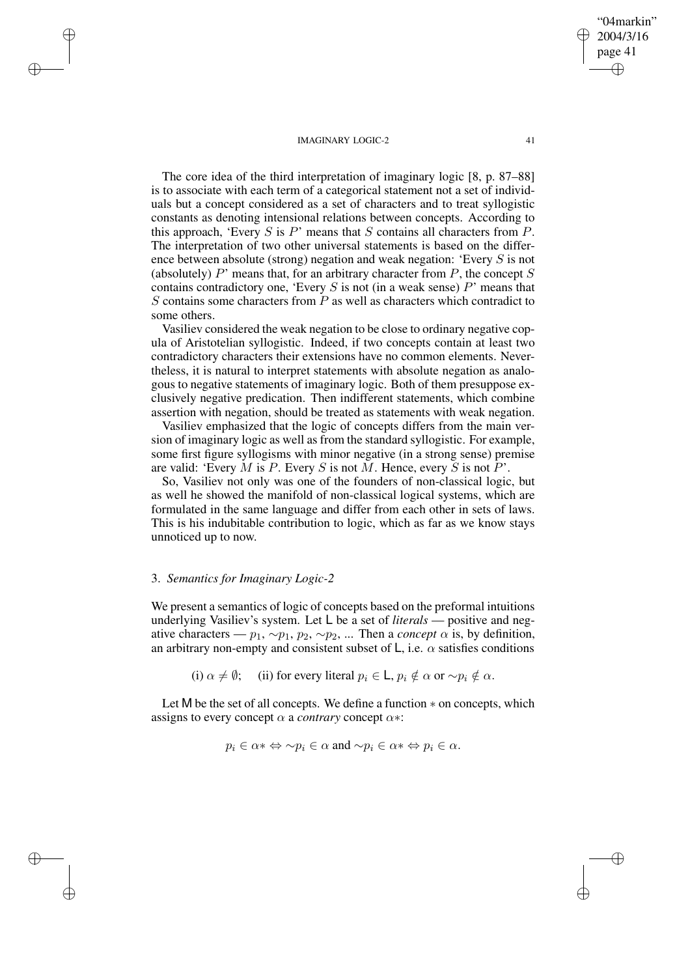The core idea of the third interpretation of imaginary logic [8, p. 87–88] is to associate with each term of a categorical statement not a set of individuals but a concept considered as a set of characters and to treat syllogistic constants as denoting intensional relations between concepts. According to this approach, 'Every  $S$  is  $P$ ' means that  $S$  contains all characters from  $P$ . The interpretation of two other universal statements is based on the difference between absolute (strong) negation and weak negation: 'Every S is not (absolutely)  $P'$  means that, for an arbitrary character from  $P$ , the concept  $S$ contains contradictory one, 'Every  $S$  is not (in a weak sense)  $P'$  means that S contains some characters from  $\overline{P}$  as well as characters which contradict to some others.

Vasiliev considered the weak negation to be close to ordinary negative copula of Aristotelian syllogistic. Indeed, if two concepts contain at least two contradictory characters their extensions have no common elements. Nevertheless, it is natural to interpret statements with absolute negation as analogous to negative statements of imaginary logic. Both of them presuppose exclusively negative predication. Then indifferent statements, which combine assertion with negation, should be treated as statements with weak negation.

Vasiliev emphasized that the logic of concepts differs from the main version of imaginary logic as well as from the standard syllogistic. For example, some first figure syllogisms with minor negative (in a strong sense) premise are valid: 'Every  $M$  is  $P$ . Every  $S$  is not  $M$ . Hence, every  $S$  is not  $P'$ .

So, Vasiliev not only was one of the founders of non-classical logic, but as well he showed the manifold of non-classical logical systems, which are formulated in the same language and differ from each other in sets of laws. This is his indubitable contribution to logic, which as far as we know stays unnoticed up to now.

# 3. *Semantics for Imaginary Logic-2*

✐

✐

✐

✐

We present a semantics of logic of concepts based on the preformal intuitions underlying Vasiliev's system. Let L be a set of *literals* — positive and negative characters —  $p_1, \sim p_1, p_2, \sim p_2, \dots$  Then a *concept*  $\alpha$  is, by definition, an arbitrary non-empty and consistent subset of L, i.e.  $\alpha$  satisfies conditions

(i)  $\alpha \neq \emptyset$ ; (ii) for every literal  $p_i \in L$ ,  $p_i \notin \alpha$  or  $\sim p_i \notin \alpha$ .

Let M be the set of all concepts. We define a function ∗ on concepts, which assigns to every concept  $\alpha$  a *contrary* concept  $\alpha$ \*:

$$
p_i \in \alpha^* \Leftrightarrow \sim p_i \in \alpha \text{ and } \sim p_i \in \alpha^* \Leftrightarrow p_i \in \alpha.
$$

"04markin" 2004/3/16 page 41

✐

✐

✐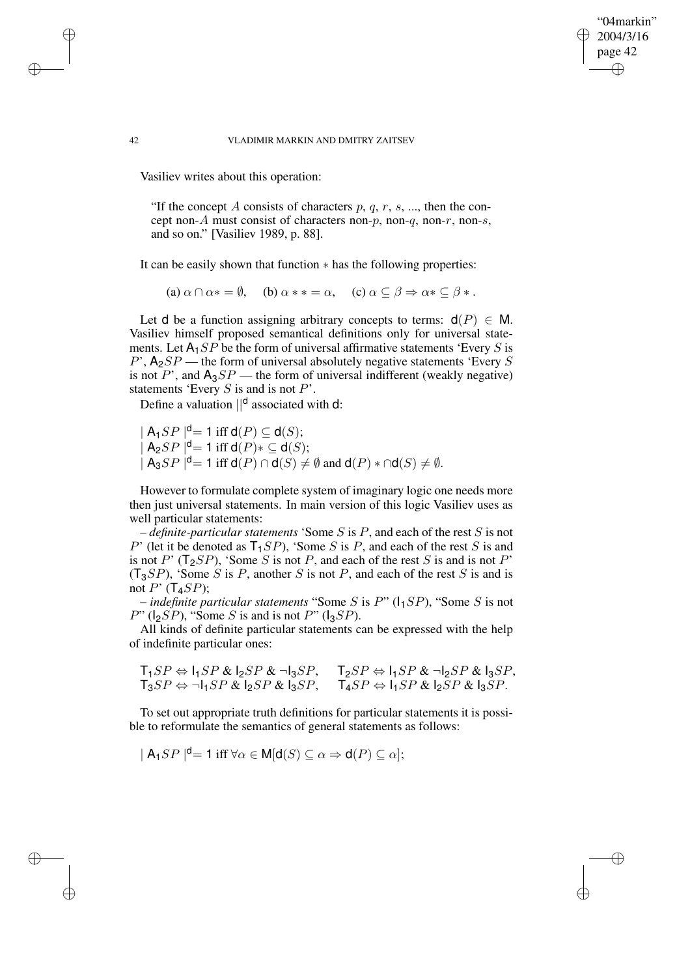"04markin" 2004/3/16 page 42

✐

✐

✐

✐

Vasiliev writes about this operation:

"If the concept A consists of characters  $p, q, r, s, ...$ , then the concept non-A must consist of characters non-p, non-q, non-r, non-s, and so on." [Vasiliev 1989, p. 88].

It can be easily shown that function ∗ has the following properties:

(a)  $\alpha \cap \alpha * = \emptyset$ , (b)  $\alpha * * = \alpha$ , (c)  $\alpha \subseteq \beta \Rightarrow \alpha * \subseteq \beta *$ .

Let d be a function assigning arbitrary concepts to terms:  $d(P) \in M$ . Vasiliev himself proposed semantical definitions only for universal statements. Let  $A_1 SP$  be the form of universal affirmative statements 'Every S is  $P'$ ,  $A_2SP$  — the form of universal absolutely negative statements 'Every S is not P', and  $A_3SP$  — the form of universal indifferent (weakly negative) statements 'Every  $S$  is and is not  $P$ '.

Define a valuation  $\vert\vert^d$  associated with d:

 $|A_1SP|^{d} = 1$  iff  $d(P) \subseteq d(S)$ ;  $|A_2SP|^{d} = 1$  iff  $d(P)* \subseteq d(S);$  $|A_3SP|^{d} = 1$  iff  $d(P) \cap d(S) \neq \emptyset$  and  $d(P) * \cap d(S) \neq \emptyset$ .

However to formulate complete system of imaginary logic one needs more then just universal statements. In main version of this logic Vasiliev uses as well particular statements:

– *definite-particular statements* 'Some S is P, and each of the rest S is not P' (let it be denoted as  $T_1SP$ ), 'Some S is P, and each of the rest S is and is not P' ( $T_2SP$ ), 'Some S is not P, and each of the rest S is and is not P'  $(T_3SP)$ , 'Some S is P, another S is not P, and each of the rest S is and is not  $P'$  (T<sub>4</sub>SP);

 $-$  *indefinite particular statements* "Some *S* is *P*" ( $1_1$ *SP*), "Some *S* is not  $P$ " ( $|_{2}SP$ ), "Some S is and is not P" ( $|_{3}SP$ ).

All kinds of definite particular statements can be expressed with the help of indefinite particular ones:

$$
\mathsf{T}_1SP \Leftrightarrow \mathsf{I}_1SP \& \mathsf{I}_2SP \& \neg \mathsf{I}_3SP, \qquad \mathsf{T}_2SP \Leftrightarrow \mathsf{I}_1SP \& \neg \mathsf{I}_2SP \& \mathsf{I}_3SP, \\
\mathsf{T}_3SP \Leftrightarrow \neg \mathsf{I}_1SP \& \mathsf{I}_2SP \& \mathsf{I}_3SP, \qquad \mathsf{T}_4SP \Leftrightarrow \mathsf{I}_1SP \& \mathsf{I}_2SP \& \mathsf{I}_3SP.
$$

To set out appropriate truth definitions for particular statements it is possible to reformulate the semantics of general statements as follows:

 $|A_1SP|^{d} = 1$  iff  $\forall \alpha \in M[d(S) \subseteq \alpha \Rightarrow d(P) \subseteq \alpha]$ ;

✐

✐

✐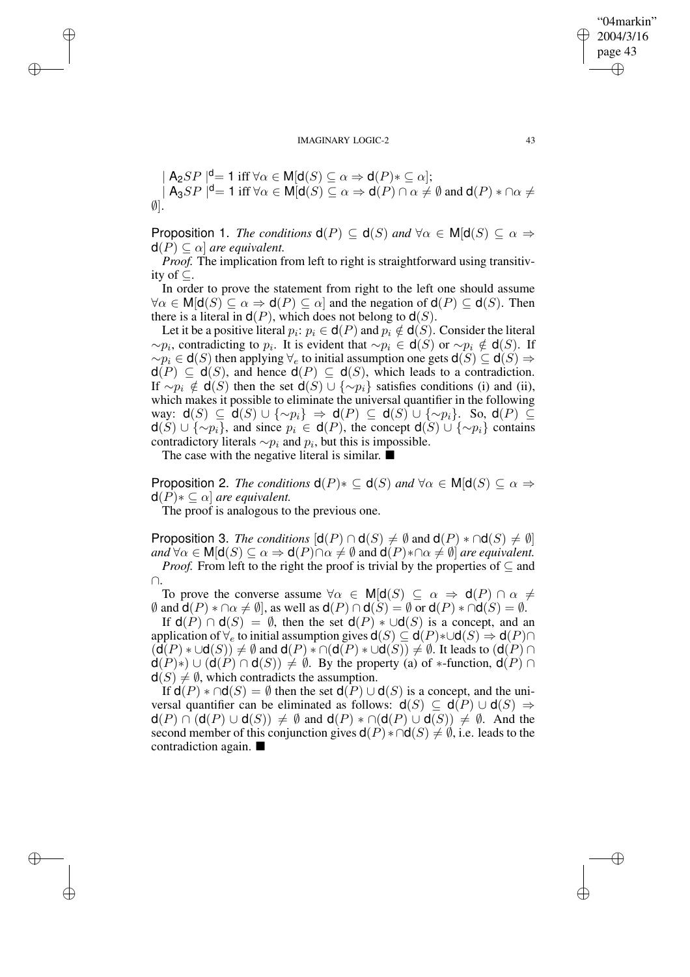$$
|\mathsf{A}_2SP|^{\mathsf{d}} = 1 \text{ iff } \forall \alpha \in \mathsf{M}[\mathsf{d}(S) \subseteq \alpha \Rightarrow \mathsf{d}(P) * \subseteq \alpha];
$$
  

$$
|\mathsf{A}_3SP|^{\mathsf{d}} = 1 \text{ iff } \forall \alpha \in \mathsf{M}[\mathsf{d}(S) \subseteq \alpha \Rightarrow \mathsf{d}(P) \cap \alpha \neq \emptyset \text{ and } \mathsf{d}(P) * \cap \alpha \neq \emptyset].
$$

**Proposition 1.** *The conditions*  $d(P) \subseteq d(S)$  *and*  $\forall \alpha \in M[d(S) \subseteq \alpha \Rightarrow$  $d(P) \subseteq \alpha$  *are equivalent.* 

*Proof.* The implication from left to right is straightforward using transitivity of ⊆.

In order to prove the statement from right to the left one should assume  $\forall \alpha \in M[\mathsf{d}(S) \subseteq \alpha \Rightarrow \mathsf{d}(P) \subseteq \alpha]$  and the negation of  $\mathsf{d}(P) \subseteq \mathsf{d}(S)$ . Then there is a literal in  $d(P)$ , which does not belong to  $d(S)$ .

Let it be a positive literal  $p_i \colon p_i \in \mathsf{d}(P)$  and  $p_i \notin \mathsf{d}(S)$ . Consider the literal  $\sim p_i$ , contradicting to  $p_i$ . It is evident that  $\sim p_i \in \mathsf{d}(S)$  or  $\sim p_i \notin \mathsf{d}(S)$ . If  $\sim p_i \in \mathsf{d}(S)$  then applying  $\forall_e$  to initial assumption one gets  $\mathsf{d}(S) \subseteq \mathsf{d}(S) \Rightarrow$  $d(P) \subseteq d(S)$ , and hence  $d(P) \subseteq d(S)$ , which leads to a contradiction. If  $\sim p_i \notin \mathsf{d}(S)$  then the set  $\mathsf{d}(S) \cup \{\sim p_i\}$  satisfies conditions (i) and (ii), which makes it possible to eliminate the universal quantifier in the following way:  $\mathsf{d}(S) \subseteq \mathsf{d}(S) \cup \{\sim p_i\} \Rightarrow \mathsf{d}(P) \subseteq \mathsf{d}(S) \cup \{\sim p_i\}.$  So,  $\mathsf{d}(P) \subseteq$  $d(S) \cup \{\sim p_i\}$ , and since  $p_i \in d(P)$ , the concept  $d(S) \cup \{\sim p_i\}$  contains contradictory literals  $\sim p_i$  and  $p_i$ , but this is impossible.

The case with the negative literal is similar.  $\blacksquare$ 

✐

✐

✐

✐

**Proposition 2.** *The conditions*  $d(P) * \subseteq d(S)$  *and*  $\forall \alpha \in M[d(S) \subseteq \alpha \Rightarrow$  $d(P) * \subseteq \alpha$  *are equivalent.* 

The proof is analogous to the previous one.

**Proposition 3.** *The conditions*  $[d(P) \cap d(S) \neq \emptyset$  and  $d(P) * \cap d(S) \neq \emptyset$ *and*  $\forall \alpha \in M[d(S) \subseteq \alpha \Rightarrow d(P) \cap \alpha \neq \emptyset$  and  $d(P) * \cap \alpha \neq \emptyset$  *are equivalent. Proof.* From left to the right the proof is trivial by the properties of  $\subseteq$  and

∩.

To prove the converse assume  $\forall \alpha \in M | d(S) \subseteq \alpha \Rightarrow d(P) \cap \alpha \neq \emptyset$  $\emptyset$  and  $d(P) * \cap \alpha \neq \emptyset$ , as well as  $d(P) \cap d(S) = \emptyset$  or  $d(P) * \cap d(S) = \emptyset$ .

If  $d(P) \cap d(S) = \emptyset$ , then the set  $d(P) * \cup d(S)$  is a concept, and an application of  $\forall_e$  to initial assumption gives  $\mathsf{d}(S) \subseteq \mathsf{d}(P) * \cup \mathsf{d}(S) \Rightarrow \mathsf{d}(P) \cap$  $(\overline{\mathsf{d}(P)} * \cup \mathsf{d}(S)) \neq \emptyset$  and  $\mathsf{d}(P) * \cap (\mathsf{d}(P) * \cup \mathsf{d}(S)) \neq \emptyset$ . It leads to  $(\mathsf{d}(P) \cap \mathsf{d}(S))$  $d(P)$ ∗) ∪  $(d(P) \cap d(S)) \neq \emptyset$ . By the property (a) of \*-function,  $d(P) \cap d(S)$  $d(S) \neq \emptyset$ , which contradicts the assumption.

If  $d(P) * \cap d(S) = \emptyset$  then the set  $d(P) \cup d(S)$  is a concept, and the universal quantifier can be eliminated as follows:  $d(S) \subseteq d(P) \cup d(S) \Rightarrow$  $d(P) \cap (d(P) \cup d(S)) \neq \emptyset$  and  $d(P) * \cap (d(P) \cup d(S)) \neq \emptyset$ . And the second member of this conjunction gives  $d(P) * ∩ d(S) \neq \emptyset$ , i.e. leads to the contradiction again.

"04markin" 2004/3/16 page 43

✐

✐

✐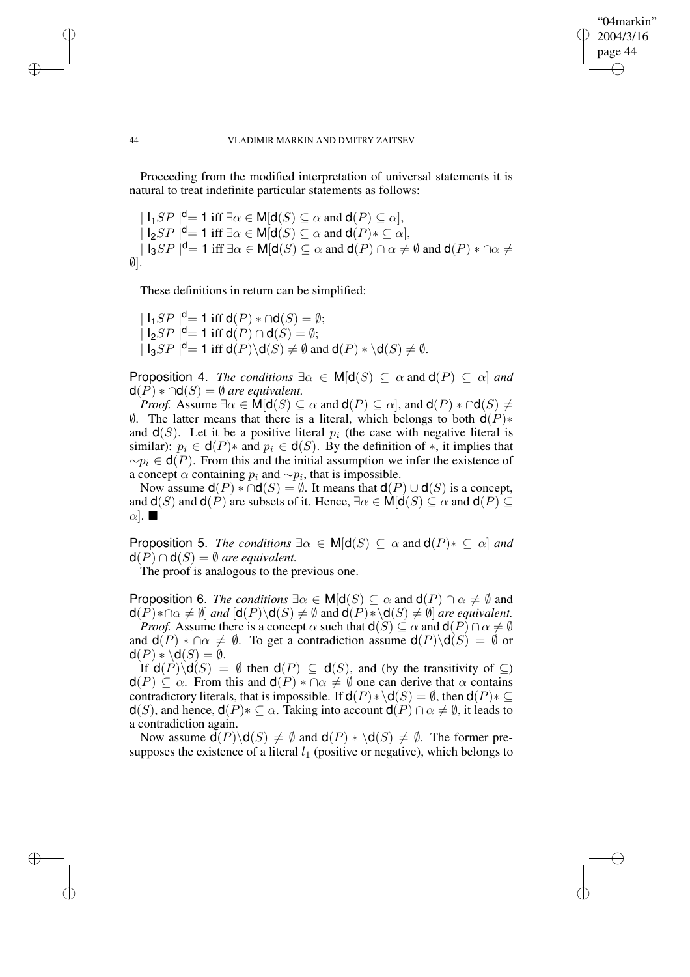## "04markin" 2004/3/16 page 44 ✐ ✐

✐

✐

#### 44 VLADIMIR MARKIN AND DMITRY ZAITSEV

Proceeding from the modified interpretation of universal statements it is natural to treat indefinite particular statements as follows:

 $| \mathsf{I}_1SP |^{\mathsf{d}} = 1$  iff  $\exists \alpha \in \mathsf{M}[\mathsf{d}(S) \subseteq \alpha \text{ and } \mathsf{d}(P) \subseteq \alpha],$  $| \mathsf{I}_2SP |^{\mathsf{d}} = 1$  iff  $\exists \alpha \in \mathsf{M}[\mathsf{d}(S) \subseteq \alpha \text{ and } \mathsf{d}(P) * \subseteq \alpha],$  $| \text{I}_3SP |^{\text{d}} = 1$  iff  $\exists \alpha \in \text{M}[\text{d}(S) \subseteq \alpha$  and  $\text{d}(P) \cap \alpha \neq \emptyset$  and  $\text{d}(P) * \cap \alpha \neq \emptyset$  $\emptyset$ ].

These definitions in return can be simplified:

 $| \mathsf{I}_1SP |^{\mathsf{d}} = 1$  iff  $\mathsf{d}(P) * \cap \mathsf{d}(S) = \emptyset;$  $| \text{I}_2SP |^{\mathsf{d}} = 1$  iff  $\mathsf{d}(P) \cap \mathsf{d}(S) = \emptyset;$  $| \text{I}_3SP |^{\text{d}} = 1 \text{ iff } \text{d}(P) \backslash \text{d}(S) \neq \emptyset \text{ and } \text{d}(P) * \backslash \text{d}(S) \neq \emptyset.$ 

**Proposition 4.** *The conditions*  $\exists \alpha \in M | d(S) \subseteq \alpha$  and  $d(P) \subseteq \alpha$  *and*  $d(P) * \cap d(S) = \emptyset$  *are equivalent.* 

*Proof.* Assume  $\exists \alpha \in M | d(S) \subseteq \alpha$  and  $d(P) \subseteq \alpha$ , and  $d(P) * \cap d(S) \neq$  $\emptyset$ . The latter means that there is a literal, which belongs to both **d**(P)<sup>\*</sup> and  $d(S)$ . Let it be a positive literal  $p_i$  (the case with negative literal is similar):  $p_i \in d(P)$  and  $p_i \in d(S)$ . By the definition of \*, it implies that  $~\sim p_i \in \mathsf{d}(P)$ . From this and the initial assumption we infer the existence of a concept  $\alpha$  containing  $p_i$  and  $\sim p_i$ , that is impossible.

Now assume  $d(P) * \cap d(S) = \emptyset$ . It means that  $d(P) \cup d(S)$  is a concept, and  $d(S)$  and  $d(P)$  are subsets of it. Hence,  $\exists \alpha \in M | d(S) \subseteq \alpha$  and  $d(P) \subseteq$  $\alpha$ .

**Proposition 5.** *The conditions*  $\exists \alpha \in M | d(S) \subseteq \alpha$  and  $d(P) * \subseteq \alpha$  *and*  $d(P) \cap d(S) = \emptyset$  *are equivalent.* 

The proof is analogous to the previous one.

**Proposition 6.** *The conditions*  $\exists \alpha \in M | d(S) \subseteq \alpha$  and  $d(P) \cap \alpha \neq \emptyset$  and  $d(P) * \cap \alpha \neq \emptyset$  *and*  $\{d(P) \setminus d(S) \neq \emptyset \}$  and  $d(P) * \{d(S) \neq \emptyset \}$  *are equivalent. Proof.* Assume there is a concept  $\alpha$  such that  $d(S) \subseteq \alpha$  and  $d(P) \cap \alpha \neq \emptyset$ 

and  $d(P) * \cap \alpha \neq \emptyset$ . To get a contradiction assume  $d(P) \backslash d(S) = \emptyset$  or  $d(P) * \dot{d}(S) = \emptyset$ .

If  $d(P)\backslash d(S) = \emptyset$  then  $d(P) \subseteq d(S)$ , and (by the transitivity of  $\subseteq$ )  $d(P) \subseteq \alpha$ . From this and  $d(P) * \cap \alpha \neq \emptyset$  one can derive that  $\alpha$  contains contradictory literals, that is impossible. If  $d(P) * \ddot{d}(S) = \emptyset$ , then  $d(P) * \subseteq$  $d(S)$ , and hence,  $d(P) * \subseteq \alpha$ . Taking into account  $d(P) \cap \alpha \neq \emptyset$ , it leads to a contradiction again.

Now assume  $d(P)\d(S) \neq \emptyset$  and  $d(P) * \d(S) \neq \emptyset$ . The former presupposes the existence of a literal  $l_1$  (positive or negative), which belongs to

✐

✐

✐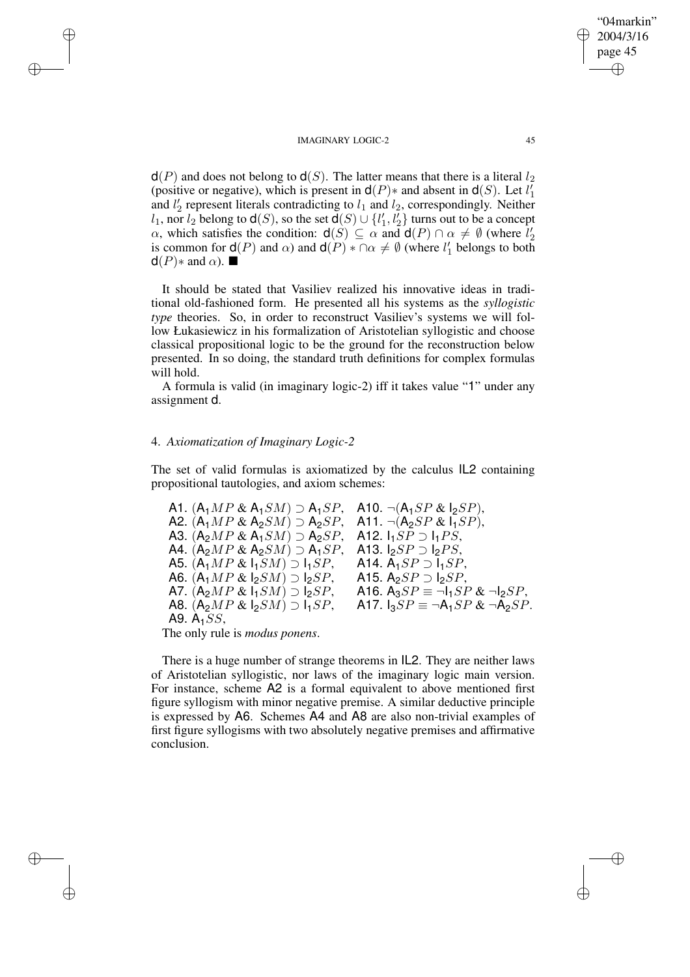$d(P)$  and does not belong to  $d(S)$ . The latter means that there is a literal  $l_2$ (positive or negative), which is present in  $d(P)$ \* and absent in  $d(S)$ . Let  $l'_1$ and  $l'_2$  represent literals contradicting to  $l_1$  and  $l_2$ , correspondingly. Neither  $l_1$ , nor  $l_2$  belong to  $d(S)$ , so the set  $d(S) \cup \{l'_1, l'_2\}$  turns out to be a concept  $\alpha$ , which satisfies the condition:  $d(S) \subseteq \alpha$  and  $d(P) \cap \alpha \neq \emptyset$  (where  $l'_2$ ) is common for  $d(P)$  and  $\alpha$ ) and  $d(P) * \cap \alpha \neq \emptyset$  (where  $l'_1$  belongs to both  $d(P)$ \* and  $\alpha$ ).

It should be stated that Vasiliev realized his innovative ideas in traditional old-fashioned form. He presented all his systems as the *syllogistic type* theories. So, in order to reconstruct Vasiliev's systems we will follow Łukasiewicz in his formalization of Aristotelian syllogistic and choose classical propositional logic to be the ground for the reconstruction below presented. In so doing, the standard truth definitions for complex formulas will hold.

A formula is valid (in imaginary logic-2) iff it takes value "1" under any assignment d.

#### 4. *Axiomatization of Imaginary Logic-2*

✐

✐

✐

✐

The set of valid formulas is axiomatized by the calculus IL2 containing propositional tautologies, and axiom schemes:

A1. 
$$
(A_1MP & A_1SM) \supset A_1SP
$$
, A10.  $\neg(A_1SP & I_2SP)$ ,  
A2.  $(A_1MP & A_2SM) \supset A_2SP$ , A11.  $\neg(A_2SP & I_1SP)$ ,  
A3.  $(A_2MP & A_1SM) \supset A_2SP$ , A12.  $I_1SP \supset I_1PS$ ,  
A4.  $(A_2MP & A_2SM) \supset A_1SP$ , A13.  $I_2SP \supset I_2PS$ ,  
A5.  $(A_1MP & I_1SM) \supset I_1SP$ , A14.  $A_1SP \supset I_1SP$ ,  
A6.  $(A_1MP & I_2SM) \supset I_2SP$ , A15.  $A_2SP \supset I_2SP$ ,  
A7.  $(A_2MP & I_1SM) \supset I_2SP$ , A16.  $A_3SP \equiv \neg I_1SP & \neg I_2SP$ ,  
A8.  $(A_2MP & I_1SM) \supset I_2SP$ , A16.  $A_3SP \equiv \neg I_1SP & \neg I_2SP$ ,  
A9.  $A_1SS$ ,

The only rule is *modus ponens*.

There is a huge number of strange theorems in IL2. They are neither laws of Aristotelian syllogistic, nor laws of the imaginary logic main version. For instance, scheme A2 is a formal equivalent to above mentioned first figure syllogism with minor negative premise. A similar deductive principle is expressed by A6. Schemes A4 and A8 are also non-trivial examples of first figure syllogisms with two absolutely negative premises and affirmative conclusion.

"04markin" 2004/3/16 page 45

✐

✐

✐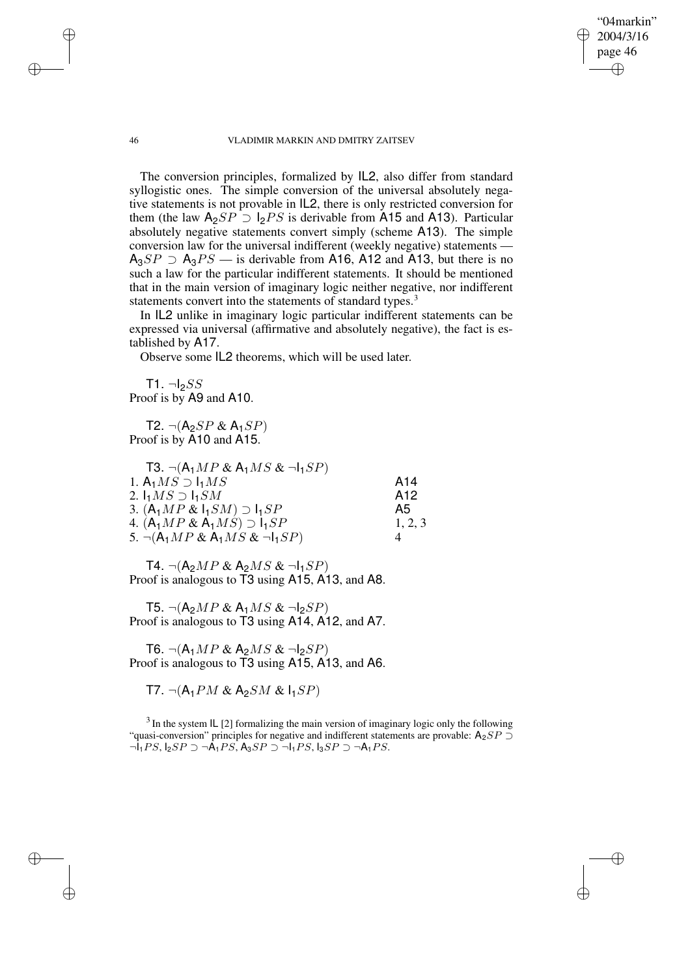"04markin" 2004/3/16 page 46

✐

✐

✐

✐

The conversion principles, formalized by IL2, also differ from standard syllogistic ones. The simple conversion of the universal absolutely negative statements is not provable in IL2, there is only restricted conversion for them (the law  $A_2SP \supset I_2PS$  is derivable from A15 and A13). Particular absolutely negative statements convert simply (scheme A13). The simple conversion law for the universal indifferent (weekly negative) statements —  $A_3SP \supset A_3PS$  — is derivable from A16, A12 and A13, but there is no such a law for the particular indifferent statements. It should be mentioned that in the main version of imaginary logic neither negative, nor indifferent statements convert into the statements of standard types.<sup>3</sup>

In IL2 unlike in imaginary logic particular indifferent statements can be expressed via universal (affirmative and absolutely negative), the fact is established by A17.

Observe some IL2 theorems, which will be used later.

 $T1. \neg bSS$ Proof is by A9 and A10.

T2.  $\neg(A_2SP \& A_1SP)$ Proof is by A10 and A15.

| <b>T3.</b> $\neg(A_1MP \& A_1MS \& \neg I_1SP)$ |                 |
|-------------------------------------------------|-----------------|
| 1. $A_1MS \supset I_1MS$                        | A14             |
| 2. $I_1MS \supset I_1SM$                        | A <sub>12</sub> |
| 3. $(A_1MP \& I_1SM) \supset I_1SP$             | A5              |
| 4. $(A_1MP \& A_1MS) \supset I_1SP$             | 1, 2, 3         |
| 5. $\neg(A_1MP \& A_1MS \& \neg I_1SP)$         |                 |

T4.  $\neg(A_2MP \& A_2MS \& \neg I_1SP)$ Proof is analogous to T3 using A15, A13, and A8.

T5.  $\neg(A_2MP \& A_1MS \& \neg I_2SP)$ Proof is analogous to T3 using A14, A12, and A7.

T6.  $\neg(A_1MP \& A_2MS \& \neg I_2SP)$ Proof is analogous to T3 using A15, A13, and A6.

T7.  $\neg(A_1PM \& A_2SM \& I_1SP)$ 

 $3$  In the system IL [2] formalizing the main version of imaginary logic only the following "quasi-conversion" principles for negative and indifferent statements are provable:  $A_2SP \supset$  $\neg I_1PS$ ,  $I_2SP \supset \neg A_1PS$ ,  $A_3SP \supset \neg I_1PS$ ,  $I_3SP \supset \neg A_1PS$ .

✐

✐

✐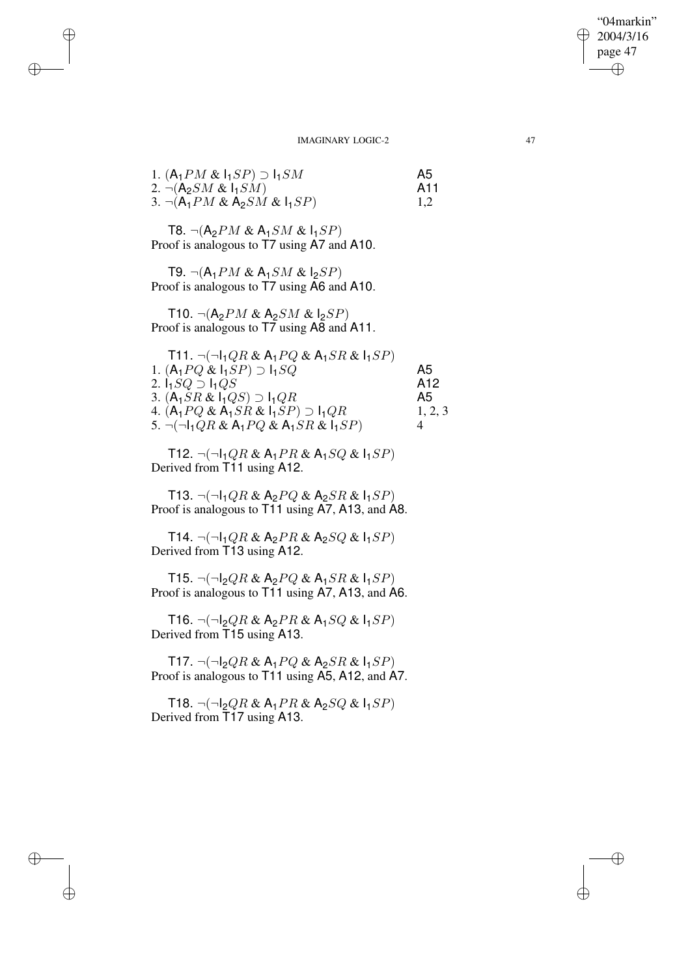"04markin" 2004/3/16 page 47 ✐ ✐

 $\bigoplus$ 

✐

#### IMAGINARY LOGIC-2 47

| 1. $(A_1PM \& I_1SP) \supset I_1SM$ | A5  |
|-------------------------------------|-----|
| 2. $\neg(A_2SM \& I_1SM)$           | A11 |
| 3. $\neg(A_1PM \& A_2SM \& I_1SP)$  |     |

T8.  $\neg(A_2PM \& A_1SM \& I_1SP)$ Proof is analogous to T7 using A7 and A10.

✐

✐

✐

✐

T9.  $\neg(A_1PM \& A_1SM \& I_2SP)$ Proof is analogous to T7 using A6 and A10.

T10.  $\neg(A_2PM \& A_2SM \& I_2SP)$ Proof is analogous to T7 using A8 and A11.

| T11. $\neg(\neg I_1QR \& A_1PQ \& A_1SR \& I_1SP)$ |         |
|----------------------------------------------------|---------|
| 1. $(A_1PQ \& I_1SP) \supset I_1SQ$                | Α5      |
| 2. $I_1SQ \supset I_1QS$                           | A12     |
| 3. $(A_1SR \& I_1QS) \supset I_1QR$                | Α5      |
| 4. $(A_1PQ \& A_1SR \& I_1SP) \supset I_1QR$       | 1, 2, 3 |
| 5. $\neg(\neg I_1QR & A_1PQ & A_1SR & I_1SP)$      |         |

T12.  $\neg(\neg I_1QR & A_1PR & A_1SQ & I_1SP)$ Derived from T11 using A12.

T13.  $\neg(\neg I_1QR & A_2PQ & A_2SR & I_1SP)$ Proof is analogous to T11 using A7, A13, and A8.

T14.  $\neg(\neg I_1QR \& A_2PR \& A_2SQ \& I_1SP)$ Derived from T13 using A12.

T15.  $\neg(\neg I_2QR \& A_2PQ \& A_1SR \& I_1SP)$ Proof is analogous to T11 using A7, A13, and A6.

T16.  $\neg(\neg I_2QR \& A_2PR \& A_1SQ \& I_1SP)$ Derived from T15 using A13.

T17.  $\neg(\neg I_2QR \& A_1PQ \& A_2SR \& I_1SP)$ Proof is analogous to T11 using A5, A12, and A7.

T18.  $\neg(\neg I_2QR \& A_1PR \& A_2SQ \& I_1SP)$ Derived from T17 using A13.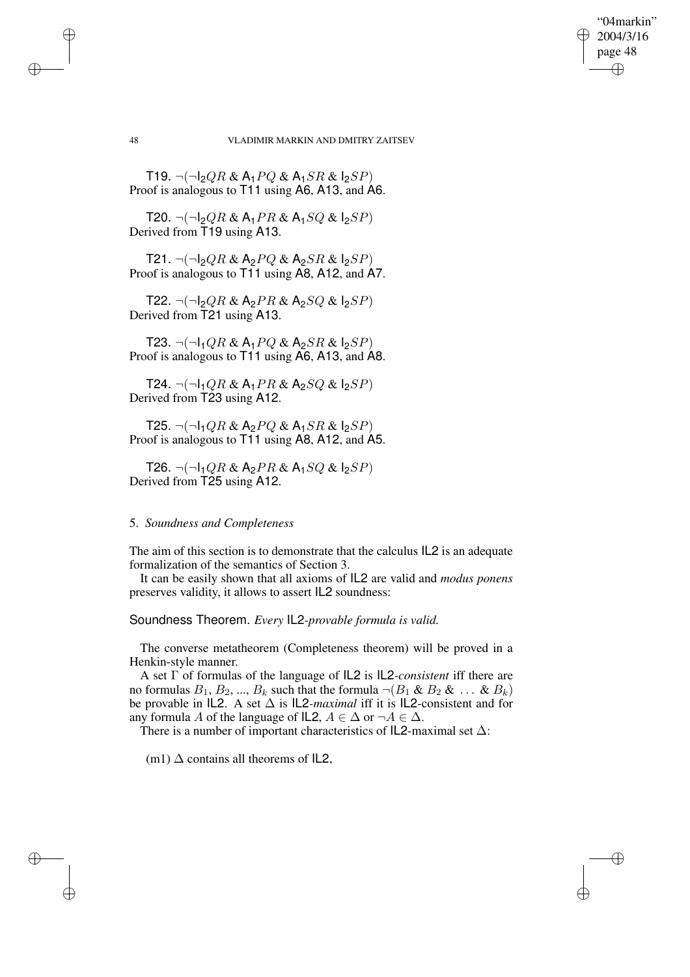"04markin" 2004/3/16 page 48

✐

✐

✐

✐

T19.  $\neg(\neg I_2QR & A_1PQ & A_1SR & I_2SP)$ Proof is analogous to T11 using A6, A13, and A6.

T20.  $\neg(\neg I_2QR & A_1PR & A_1SQ & B_2SP)$ Derived from T19 using A13.

T21.  $\neg(\neg I_2QR & A_2PQ & A_2SR & I_2SP)$ Proof is analogous to T11 using A8, A12, and A7.

T22.  $\neg(\neg I_2QR \& A_2PR \& A_2SQ \& I_2SP)$ Derived from T21 using A13.

T23.  $\neg(\neg I_1QR & A_1PQ & A_2SR & B_2SP)$ Proof is analogous to T11 using A6, A13, and A8.

T24.  $\neg(\neg I_1QR & A_1PR & A_2SQ & I_2SP)$ Derived from T23 using A12.

T25.  $\neg(\neg I_1QR & A_2PO & A_1SR & I_2SP)$ Proof is analogous to T11 using A8, A12, and A5.

T26.  $\neg(\neg I_1QR \& A_2PR \& A_1SQ \& I_2SP)$ Derived from T25 using A12.

### 5. *Soundness and Completeness*

The aim of this section is to demonstrate that the calculus IL2 is an adequate formalization of the semantics of Section 3.

It can be easily shown that all axioms of IL2 are valid and *modus ponens* preserves validity, it allows to assert IL2 soundness:

Soundness Theorem. *Every* IL2*-provable formula is valid.*

The converse metatheorem (Completeness theorem) will be proved in a Henkin-style manner.

A set Γ of formulas of the language of IL2 is IL2*-consistent* iff there are no formulas  $B_1, B_2, ..., B_k$  such that the formula  $\neg (B_1 \& B_2 \& ... \& B_k)$ be provable in IL2. A set ∆ is IL2*-maximal* iff it is IL2-consistent and for any formula A of the language of IL2,  $A \in \Delta$  or  $\neg A \in \Delta$ .

There is a number of important characteristics of  $IL2$ -maximal set  $\Delta$ :

(m1)  $\Delta$  contains all theorems of IL2,

✐

✐

✐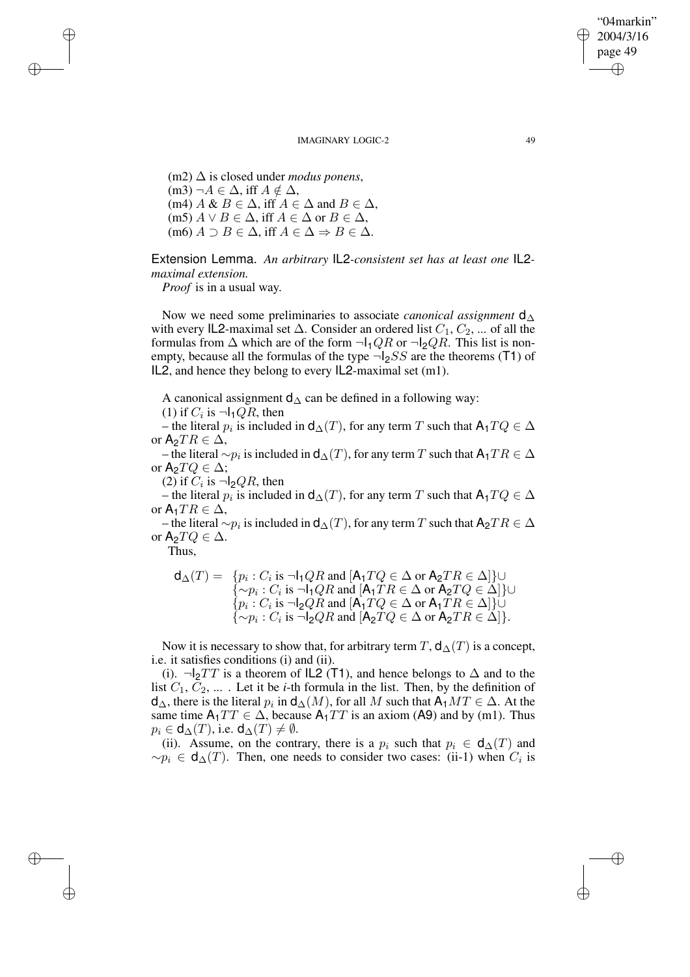(m2) ∆ is closed under *modus ponens*, (m3)  $\neg A \in \Delta$ , iff  $A \notin \Delta$ , (m4) A &  $B \in \Delta$ , iff  $A \in \Delta$  and  $B \in \Delta$ , (m5)  $A \vee B \in \Delta$ , iff  $A \in \Delta$  or  $B \in \Delta$ ,  $(m6)$   $A \supset B \in \Delta$ , iff  $A \in \Delta \Rightarrow B \in \Delta$ .

Extension Lemma. *An arbitrary* IL2*-consistent set has at least one* IL2 *maximal extension.*

*Proof* is in a usual way.

✐

✐

✐

✐

Now we need some preliminaries to associate *canonical assignment* d∆ with every IL2-maximal set  $\Delta$ . Consider an ordered list  $C_1, C_2, ...$  of all the formulas from  $\Delta$  which are of the form  $\neg l_1QR$  or  $\neg l_2QR$ . This list is nonempty, because all the formulas of the type  $\neg l_2SS$  are the theorems (T1) of IL2, and hence they belong to every IL2-maximal set (m1).

A canonical assignment  $d_{\Delta}$  can be defined in a following way:

(1) if  $C_i$  is  $\neg I_1QR$ , then

– the literal  $p_i$  is included in  $d_∆(T)$ , for any term  $T$  such that  $\mathsf{A}_1 TQ \in ∆$ or  $A_2TR \in \Delta$ ,

– the literal  $\sim p_i$  is included in  $\mathsf{d}_\Delta(T)$ , for any term  $T$  such that  $\mathsf{A}_1TR \in \Delta$ or  $A_2TQ \in \Delta$ ;

(2) if  $C_i$  is  $\neg$ l<sub>2</sub> $QR$ , then

– the literal  $p_i$  is included in  $d_∆(T)$ , for any term T such that  $A_1TQ \in ∆$ or  $A_1TR \in \Delta$ ,

– the literal  $\sim p_i$  is included in  $\mathsf{d}_{\Delta}(T)$ , for any term  $T$  such that  $\mathsf{A}_2TR \in \Delta$ or  $A_2TQ \in \Delta$ .

Thus,

$$
\mathsf{d}_{\Delta}(T) = \{ p_i : C_i \text{ is } \neg \mathsf{l}_1 QR \text{ and } [\mathsf{A}_1 TQ \in \Delta \text{ or } \mathsf{A}_2 TR \in \Delta] \} \cup \n\{\sim p_i : C_i \text{ is } \neg \mathsf{l}_1 QR \text{ and } [\mathsf{A}_1 TR \in \Delta \text{ or } \mathsf{A}_2 TQ \in \Delta] \} \cup \n\{ p_i : C_i \text{ is } \neg \mathsf{l}_2 QR \text{ and } [\mathsf{A}_1 TQ \in \Delta \text{ or } \mathsf{A}_1 TR \in \Delta] \} \cup \n\{\sim p_i : C_i \text{ is } \neg \mathsf{l}_2 QR \text{ and } [\mathsf{A}_2 TQ \in \Delta \text{ or } \mathsf{A}_2 TR \in \Delta] \}.
$$

Now it is necessary to show that, for arbitrary term T,  $d_{\Delta}(T)$  is a concept, i.e. it satisfies conditions (i) and (ii).

(i).  $\neg$ |<sub>2</sub>TT is a theorem of IL2 (T1), and hence belongs to  $\Delta$  and to the list  $C_1, C_2, \ldots$ . Let it be *i*-th formula in the list. Then, by the definition of  $d_{\Delta}$ , there is the literal  $p_i$  in  $d_{\Delta}(M)$ , for all M such that  $\mathsf{A}_1MT \in \Delta$ . At the same time  $A_1TT \in \Delta$ , because  $A_1TT$  is an axiom (A9) and by (m1). Thus  $p_i \in d_{\Delta}(T)$ , i.e.  $d_{\Delta}(T) \neq \emptyset$ .

(ii). Assume, on the contrary, there is a  $p_i$  such that  $p_i \in d_{\Delta}(T)$  and  $\sim p_i \in d_{\Delta}(T)$ . Then, one needs to consider two cases: (ii-1) when  $C_i$  is

"04markin" 2004/3/16 page 49

✐

✐

✐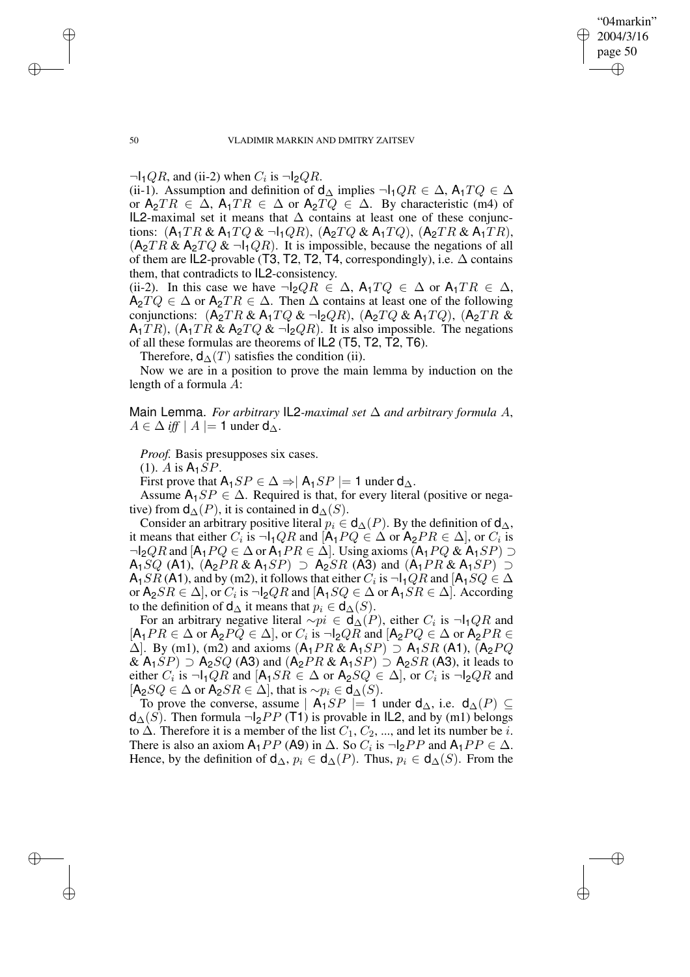"04markin" 2004/3/16 page 50 ✐ ✐

✐

✐

#### 50 VLADIMIR MARKIN AND DMITRY ZAITSEV

 $\neg I_1QR$ , and (ii-2) when  $C_i$  is  $\neg I_2QR$ .

(ii-1). Assumption and definition of  $d_{\Delta}$  implies  $\neg I_1QR \in \Delta$ ,  $A_1TQ \in \Delta$ or  $A_2TR \in \Delta$ ,  $A_1TR \in \Delta$  or  $A_2TQ \in \Delta$ . By characteristic (m4) of IL2-maximal set it means that  $\Delta$  contains at least one of these conjunctions:  $(A_1TR \& A_1TQ \& \neg A_1QR)$ ,  $(A_2TQ \& A_1TQ)$ ,  $(A_2TR \& A_1TR)$ ,  $(A_2TR \& A_2TQ \& \neg I_1QR)$ . It is impossible, because the negations of all of them are IL2-provable (T3, T2, T2, T4, correspondingly), i.e.  $\Delta$  contains them, that contradicts to IL2-consistency.

(ii-2). In this case we have  $\neg l_2QR \in \Delta$ ,  $A_1TQ \in \Delta$  or  $A_1TR \in \Delta$ ,  $A_2TQ \in \Delta$  or  $A_2TR \in \Delta$ . Then  $\Delta$  contains at least one of the following conjunctions:  $(A_2TR \& A_1TQ \& \neg I_2QR)$ ,  $(A_2TQ \& A_1TQ)$ ,  $(A_2TR \&$  $A_1TR$ ),  $(A_1TR \& A_2TQ \& \neg I_2QR)$ . It is also impossible. The negations of all these formulas are theorems of IL2 (T5, T2, T2, T6).

Therefore,  $d_{\Delta}(T)$  satisfies the condition (ii).

Now we are in a position to prove the main lemma by induction on the length of a formula A:

Main Lemma. *For arbitrary* IL2-maximal set  $\Delta$  and arbitrary formula A,  $A \in \Delta$  *iff*  $|A| = 1$  under  $d_{\Delta}$ .

*Proof.* Basis presupposes six cases.

 $(1)$ . A is  $A_1SP$ .

First prove that  $A_1SP \in \Delta \Rightarrow |A_1SP| = 1$  under  $d_{\Delta}$ .

Assume  $A_1SP \in \Delta$ . Required is that, for every literal (positive or negative) from  $d_{\Delta}(P)$ , it is contained in  $d_{\Delta}(S)$ .

Consider an arbitrary positive literal  $p_i \in \mathsf{d}_{\Delta}(P)$ . By the definition of  $\mathsf{d}_{\Delta}$ , it means that either  $C_i$  is  $\neg I_1QR$  and  $[A_1PQ \in \Delta \text{ or } A_2PR \in \Delta],$  or  $C_i$  is  $\neg$ l<sub>2</sub> $QR$  and  $[A_1PQ \in \Delta$  or  $A_1PR \in \Delta]$ . Using axioms  $(A_1PQ \& A_1SP) \supset$  $A_1SQ$  (A1),  $(A_2PR \& A_1SP) \supset A_2SR$  (A3) and  $(A_1PR \& A_1SP) \supset$  $\mathsf{A}_1SR$  ( $\mathsf{A}1$ ), and by (m2), it follows that either  $C_i$  is  $\neg \mathsf{I}_1QR$  and  $[\mathsf{A}_1SQ \in \Delta$ or  $\mathsf{A}_2SR \in \Delta$ ], or  $C_i$  is  $\neg \mathsf{I}_2QR$  and  $[\mathsf{A}_1SQ \in \Delta$  or  $\mathsf{A}_1SR \in \Delta]$ . According to the definition of  $\mathsf{d}_{\Delta}$  it means that  $p_i \in \mathsf{d}_{\Delta}(S)$ .

For an arbitrary negative literal  $\sim pi \in \mathsf{d}_{\Delta}(P)$ , either  $C_i$  is  $\neg \mathsf{l}_1 QR$  and  $[A_1PR \in \Delta \text{ or } A_2PQ \in \Delta], \text{ or } C_i \text{ is } \neg I_2QR \text{ and } [A_2PQ \in \Delta \text{ or } A_2PR \in \Delta]$  $\Delta$ ]. By (m1), (m2) and axioms  $(A_1PR \& A_1SP) \supset A_1SR$  (A1),  $(A_2PQ)$ &  $A_1SP$   $\supset$   $A_2SQ$  (A3) and  $(A_2PR \& A_1SP)$   $\supset$   $A_2SR$  (A3), it leads to either  $C_i$  is  $\neg I_1QR$  and  $[A_1SR \in \Delta \text{ or } A_2SQ \in \Delta]$ , or  $C_i$  is  $\neg I_2QR$  and  $[A_2SQ \in \Delta \text{ or } A_2SR \in \Delta],$  that is  $\sim p_i \in \mathsf{d}_{\Delta}(S)$ .

To prove the converse, assume |  $A_1SP$  |= 1 under  $d_{\Delta}$ , i.e.  $d_{\Delta}(P) \subseteq$  $d_{\Delta}(S)$ . Then formula ¬I<sub>2</sub>PP (T1) is provable in IL2, and by (m1) belongs to  $\Delta$ . Therefore it is a member of the list  $C_1, C_2, ...$ , and let its number be *i*. There is also an axiom  $A_1 PP$  (A9) in  $\Delta$ . So  $C_i$  is  $\neg I_2 PP$  and  $A_1 PP \in \Delta$ . Hence, by the definition of  $\mathsf{d}_{\Delta}$ ,  $p_i \in \mathsf{d}_{\Delta}(P)$ . Thus,  $p_i \in \mathsf{d}_{\Delta}(S)$ . From the

✐

✐

✐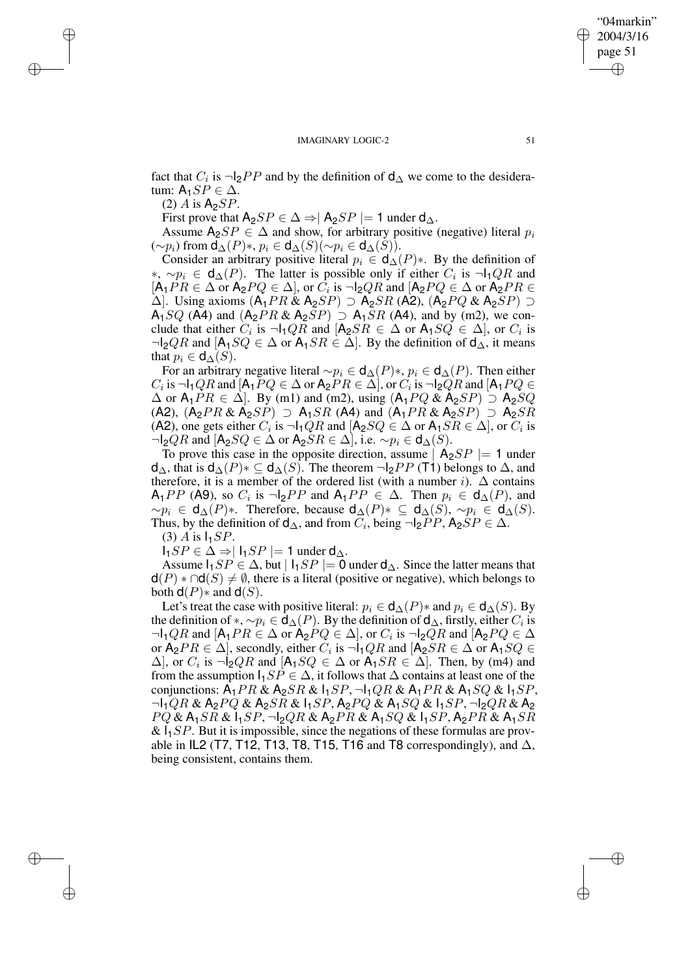fact that  $C_i$  is  $\neg$ |<sub>2</sub> $PP$  and by the definition of  $d_∆$  we come to the desideratum:  $A_1 SP \in \Delta$ .

 $(2)$  A is  $A_2SP$ .

✐

✐

✐

✐

First prove that  $A_2SP \in \Delta \Rightarrow |A_2SP| = 1$  under  $d_{\Delta}$ .

Assume  $A_2SP \in \Delta$  and show, for arbitrary positive (negative) literal  $p_i$  $(\sim p_i)$  from  $\mathsf{d}_{\Delta}(P) *$ ,  $p_i \in \mathsf{d}_{\Delta}(S)(\sim p_i \in \mathsf{d}_{\Delta}(S)).$ 

Consider an arbitrary positive literal  $p_i \in d_{\Delta}(P)$ \*. By the definition of ∗,  $\sim p_i \in d_{\Delta}(P)$ . The latter is possible only if either  $C_i$  is  $\neg I_1QR$  and  $[A_1PR \in \Delta \text{ or } A_2PQ \in \Delta], \text{ or } C_i \text{ is } \neg I_2QR \text{ and } [A_2PQ \in \Delta \text{ or } A_2PR \in \Delta]$  $\Delta$ ]. Using axioms  $(A_1PR \& A_2SP) \supset A_2SR$  (A2),  $(A_2PQ \& A_2SP) \supset A_2SR$  $A_1SQ$  (A4) and  $(A_2PR \& A_2SP) \supset A_1SR$  (A4), and by (m2), we conclude that either  $C_i$  is  $\neg I_1QR$  and  $[A_2SR \in \Delta \text{ or } A_1SQ \in \Delta]$ , or  $C_i$  is  $\neg l_2QR$  and  $[A_1SQ \in \Delta$  or  $A_1SR \in \Delta$ . By the definition of  $d_{\Delta}$ , it means that  $p_i \in d_{\Delta}(S)$ .

For an arbitrary negative literal  $\sim p_i \in d_{\Delta}(P)$ <sup>\*</sup>,  $p_i \in d_{\Delta}(P)$ . Then either  $C_i$  is  $\neg I_1QR$  and  $[A_1PQ \in \Delta$  or  $A_2PR \in \Delta]$ , or  $C_i$  is  $\neg I_2QR$  and  $[A_1PQ \in \Delta]$  $\Delta$  or A<sub>1</sub>PR  $\in \Delta$ . By (m1) and (m2), using  $(A_1PQ \& A_2SP) \supset A_2SQ$ (A2),  $(A_2PR \& A_2SP) \supset A_1SR$  (A4) and  $(A_1PR \& A_2SP) \supset A_2SR$ (A2), one gets either  $C_i$  is  $\neg I_1QR$  and  $[A_2SQ \in \Delta$  or  $A_1SR \in \Delta]$ , or  $C_i$  is  $\neg$ l<sub>2</sub> $QR$  and  $[A_2SQ \in \Delta$  or  $A_2SR \in \Delta]$ , i.e.  $\sim p_i \in d_{\Delta}(S)$ .

To prove this case in the opposite direction, assume  $|A_2SP| = 1$  under  $d_{\Delta}$ , that is  $d_{\Delta}(P)$ ∗  $\subseteq$   $d_{\Delta}(S)$ . The theorem  $\neg l_2PP$  (T1) belongs to  $\Delta$ , and therefore, it is a member of the ordered list (with a number i).  $\Delta$  contains  $\mathsf{A}_1 PP$  (A9), so  $C_i$  is  $\neg \mathsf{I}_2 PP$  and  $\mathsf{A}_1 PP \in \Delta$ . Then  $p_i \in \mathsf{d}_{\Delta}(P)$ , and  $~\sim p_i \in d_{\Delta}(P)*$ . Therefore, because  $d_{\Delta}(P)* \subseteq d_{\Delta}(S)$ ,  $~\sim p_i \in d_{\Delta}(S)$ . Thus, by the definition of  $d_{\Delta}$ , and from  $C_i$ , being  $\neg l_2 PP$ ,  $A_2 SP \in \Delta$ . (3) A is  $I_1SP$ .

 $I_1SP \in \Delta \Rightarrow |I_1SP| = 1$  under  $d_{\Delta}$ .

Assume  $I_1SP \in \Delta$ , but  $|I_1SP| = 0$  under  $d_{\Delta}$ . Since the latter means that  $d(P) * \cap d(S) \neq \emptyset$ , there is a literal (positive or negative), which belongs to both  $d(P)$ ∗ and  $d(S)$ .

Let's treat the case with positive literal:  $p_i \in d_{\Delta}(P)$  and  $p_i \in d_{\Delta}(S)$ . By the definition of  $*, \sim p_i \in \mathsf{d}_{\Delta}(P)$ . By the definition of  $\mathsf{d}_{\Delta}$ , firstly, either  $C_i$  is  $\neg I_1QR$  and  $[A_1PR \in \Delta \text{ or } A_2PQ \in \Delta], \text{ or } C_i$  is  $\neg I_2QR$  and  $[A_2PQ \in \Delta]$ or  $A_2PR \in \Delta$ , secondly, either  $C_i$  is  $\neg I_1QR$  and  $[A_2SR \in \Delta$  or  $A_1SQ \in$  $\Delta$ ], or  $C_i$  is  $\neg$ l<sub>2</sub> $QR$  and [A<sub>1</sub> $SQ \in \Delta$  or A<sub>1</sub> $SR \in \Delta$ ]. Then, by (m4) and from the assumption  $I_1SP \in \Delta$ , it follows that  $\Delta$  contains at least one of the conjunctions:  $A_1PR \& A_2SR \& I_1SP$ ,  $\neg I_1QR \& A_1PR \& A_1SQ \& I_1SP$ ,  $\neg I_1QR & A_2PQ & A_2SR & I_1SP, A_2PQ & A_1SQ & I_1SP, \neg I_2QR & A_2$  $PQ \& A_1SR \& I_1SP$ ,  $\neg I_2QR \& A_2PR \& A_1SQ \& I_1SP$ ,  $A_2PR \& A_1SR$  $\&$   $I_1SP$ . But it is impossible, since the negations of these formulas are provable in IL2 (T7, T12, T13, T8, T15, T16 and T8 correspondingly), and  $\Delta$ , being consistent, contains them.

"04markin" 2004/3/16 page 51

✐

✐

✐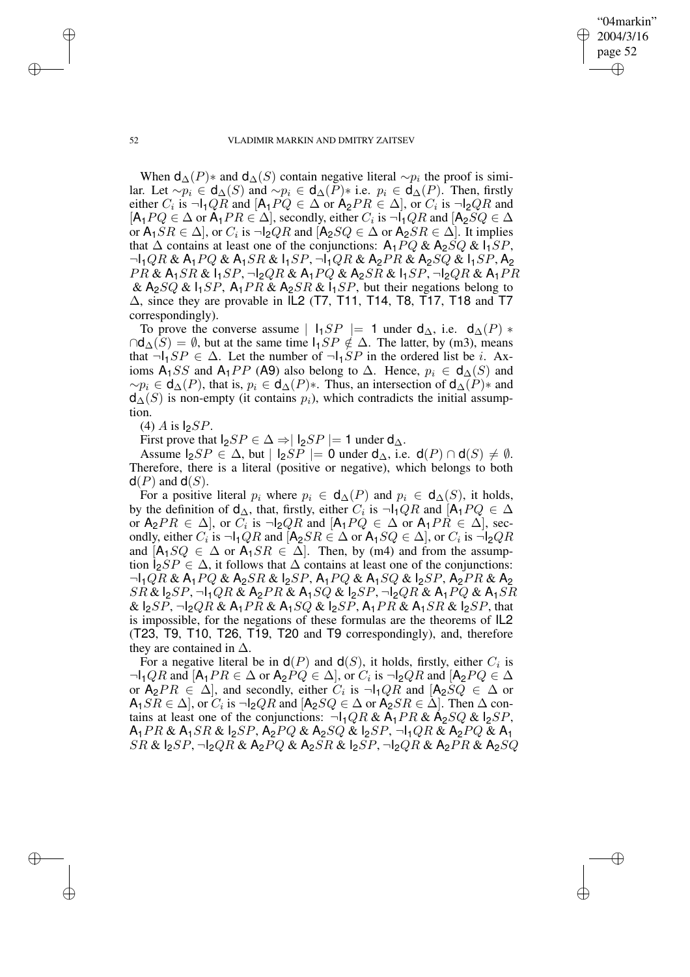"04markin" 2004/3/16 page 52 ✐ ✐

✐

✐

#### 52 VLADIMIR MARKIN AND DMITRY ZAITSEV

When  $d_{\Delta}(P)$ ∗ and  $d_{\Delta}(S)$  contain negative literal  $\sim p_i$  the proof is similar. Let  $\sim p_i \in d_{\Delta}(S)$  and  $\sim p_i \in d_{\Delta}(P)*$  i.e.  $p_i \in d_{\Delta}(P)$ . Then, firstly either  $C_i$  is  $\neg I_1QR$  and  $[A_1PQ \in \Delta$  or  $A_2PR \in \Delta]$ , or  $C_i$  is  $\neg I_2QR$  and  $[A_1 P Q \in \Delta \text{ or } A_1 P R \in \Delta]$ , secondly, either  $C_i$  is  $\neg I_1 Q R$  and  $[A_2 S Q \in \Delta]$ or  $A_1SR \in \Delta$ , or  $C_i$  is  $\neg l_2QR$  and  $[A_2SQ \in \Delta$  or  $A_2SR \in \Delta]$ . It implies that  $\Delta$  contains at least one of the conjunctions:  $A_1PQ \& A_2SQ \& 1_1SP$ ,  $\neg I_1QR & A_1PQ & A_1SR & I_1SP, \neg I_1QR & A_2PR & A_2SQ & I_1SP, A_2$  $PR \& A_1SR \& I_1SP$ ,  $\neg I_2QR \& A_1PQ \& A_2SR \& I_1SP$ ,  $\neg I_2QR \& A_1PR$ &  $A_2SQ$  &  $I_1SP$ ,  $A_1PR$  &  $A_2SR$  &  $I_1SP$ , but their negations belong to  $\Delta$ , since they are provable in IL2 (T7, T11, T14, T8, T17, T18 and T7 correspondingly).

To prove the converse assume |  $I_1SP$  |= 1 under  $d_{\Delta}$ , i.e.  $d_{\Delta}(P)$  \*  $\cap d_{\Delta}(S) = \emptyset$ , but at the same time  $I_1SP \notin \Delta$ . The latter, by (m3), means that  $\neg I_1SP \in \Delta$ . Let the number of  $\neg I_1SP$  in the ordered list be *i*. Axioms A<sub>1</sub>SS and A<sub>1</sub>PP (A9) also belong to  $\Delta$ . Hence,  $p_i \in d_{\Delta}(S)$  and  $\sim p_i \in \mathsf{d}_{\Delta}(P)$ , that is,  $p_i \in \mathsf{d}_{\Delta}(P)$ \*. Thus, an intersection of  $\mathsf{d}_{\Delta}(P)$ \* and  $d_{\Delta}(S)$  is non-empty (it contains  $p_i$ ), which contradicts the initial assumption.

 $(4)$  A is  $S$ P.

First prove that  $I_2SP \in \Delta \Rightarrow |I_2SP| = 1$  under  $d_{\Delta}$ .

Assume  $I_2SP \in \Delta$ , but  $|I_2SP| = 0$  under  $d_{\Delta}$ , i.e.  $d(P) \cap d(S) \neq \emptyset$ . Therefore, there is a literal (positive or negative), which belongs to both  $d(P)$  and  $d(S)$ .

For a positive literal  $p_i$  where  $p_i \in d_{\Delta}(P)$  and  $p_i \in d_{\Delta}(S)$ , it holds, by the definition of  $d_{\Delta}$ , that, firstly, either  $C_i$  is  $\neg I_1QR$  and  $[A_1PQ \in \Delta]$ or  $A_2PR \in \Delta$ , or  $C_i$  is  $\neg l_2QR$  and  $[A_1PQ \in \Delta$  or  $A_1PR \in \Delta]$ , secondly, either  $C_i$  is  $\neg I_1QR$  and  $[A_2SR \in \Delta \text{ or } A_1SQ \in \Delta]$ , or  $C_i$  is  $\neg I_2QR$ and  $[A_1SQ \in \Delta$  or  $A_1SR \in \Delta]$ . Then, by (m4) and from the assumption  $I_2SP \in \Delta$ , it follows that  $\Delta$  contains at least one of the conjunctions:  $\neg I_1QR & A_1PQ & A_2SR & I_2SP, A_1PQ & A_1SQ & I_2SP, A_2PR & A_2$  $SR\&I_2SP$ ,  $\lnot I_1QR\&A_2PR\&A_1SQ\&I_2SP$ ,  $\lnot I_2QR\&A_1PQ\&A_1SR$ &  $I_2SP$ ,  $\lnot I_2QR$  &  $A_1PR$  &  $A_1SQ$  &  $I_2SP$ ,  $A_1PR$  &  $A_1SR$  &  $I_2SP$ , that is impossible, for the negations of these formulas are the theorems of IL2 (T23, T9, T10, T26, T19, T20 and T9 correspondingly), and, therefore they are contained in  $\Delta$ .

For a negative literal be in  $d(P)$  and  $d(S)$ , it holds, firstly, either  $C_i$  is  $\neg I_1QR$  and  $[A_1PR \in \Delta \text{ or } A_2PQ \in \Delta], \text{ or } C_i$  is  $\neg I_2QR$  and  $[A_2PQ \in \Delta]$ or  $A_2PR \in \Delta$ , and secondly, either  $C_i$  is  $\neg I_1QR$  and  $[A_2SQ \in \Delta$  or  $\mathsf{A}_1SR \in \Delta$ ], or  $C_i$  is  $\neg \mathsf{I}_2QR$  and  $[\mathsf{A}_2SQ \in \Delta$  or  $\mathsf{A}_2SR \in \Delta$ ]. Then  $\Delta$  contains at least one of the conjunctions:  $\neg I_1QR & A_1PR & A_2SQ & I_2SP$ ,  $A_1PR \& A_1SR \& B_2SP$ ,  $A_2PQ \& A_2SQ \& B_2SP$ ,  $\neg A_1QR \& A_2PQ \& A_1$  $SR \& SPR$ ,  $\neg QPR \& A_2PQ \& A_2SR \& B_2SP$ ,  $\neg QPR \& A_2PR \& A_2SQ$ 

✐

✐

✐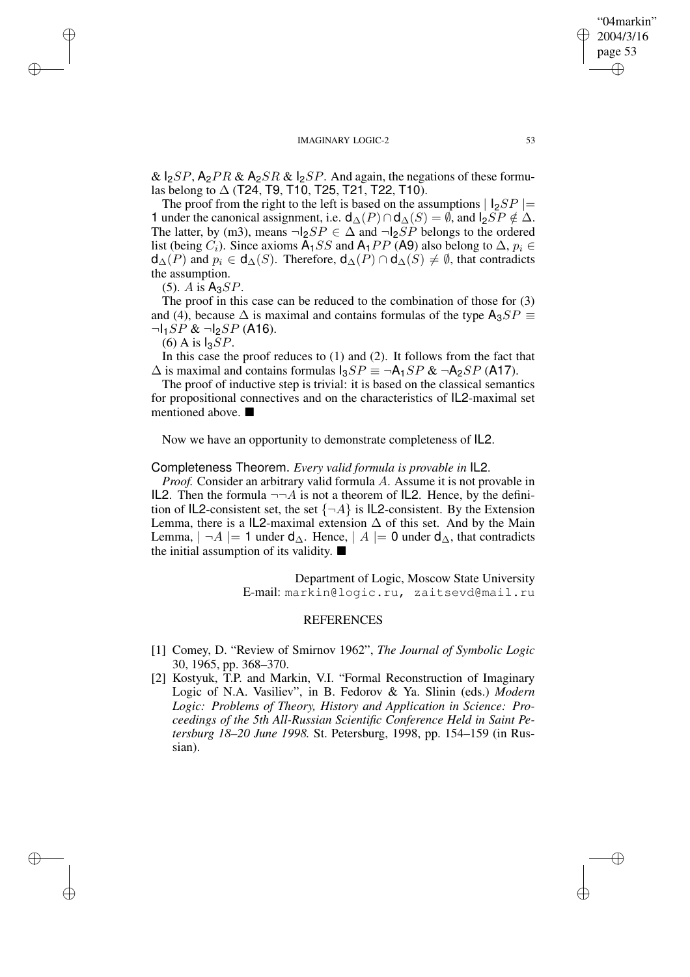&  $I_2SP$ ,  $A_2PR$  &  $A_2SR$  &  $I_2SP$ . And again, the negations of these formulas belong to  $\Delta$  (T24, T9, T10, T25, T21, T22, T10).

The proof from the right to the left is based on the assumptions  $| \cdot |_{2}SP|$ 1 under the canonical assignment, i.e.  $\mathsf{d}_{\Delta}(P) \cap \mathsf{d}_{\Delta}(S) = \emptyset$ , and  $\mathsf{l}_2 SP \notin \Delta$ . The latter, by (m3), means  $\neg l_2SP \in \Delta$  and  $\neg l_2SP$  belongs to the ordered list (being  $C_i$ ). Since axioms  $\overline{A_1SS}$  and  $A_1PP$  (A9) also belong to  $\Delta$ ,  $p_i \in$  $d_{\Delta}(P)$  and  $p_i \in d_{\Delta}(S)$ . Therefore,  $d_{\Delta}(P) \cap d_{\Delta}(S) \neq \emptyset$ , that contradicts the assumption.

 $(5)$ . A is  $A_3SP$ .

✐

✐

✐

✐

The proof in this case can be reduced to the combination of those for (3) and (4), because  $\Delta$  is maximal and contains formulas of the type  $A_3SP \equiv$  $\neg I_1SP & \neg I_2SP$  (A16).

 $(6)$  A is  $I_3SP$ .

In this case the proof reduces to  $(1)$  and  $(2)$ . It follows from the fact that  $\Delta$  is maximal and contains formulas  $I_3SP \equiv \neg A_1SP \& \neg A_2SP$  (A17).

The proof of inductive step is trivial: it is based on the classical semantics for propositional connectives and on the characteristics of IL2-maximal set mentioned above.

Now we have an opportunity to demonstrate completeness of IL2.

#### Completeness Theorem. *Every valid formula is provable in* IL2.

*Proof.* Consider an arbitrary valid formula A. Assume it is not provable in IL2. Then the formula  $\neg\neg A$  is not a theorem of IL2. Hence, by the definition of IL2-consistent set, the set  $\{\neg A\}$  is IL2-consistent. By the Extension Lemma, there is a IL2-maximal extension  $\Delta$  of this set. And by the Main Lemma,  $|\neg A| = 1$  under  $d_{\Delta}$ . Hence,  $|A| = 0$  under  $d_{\Delta}$ , that contradicts the initial assumption of its validity.  $\blacksquare$ 

> Department of Logic, Moscow State University E-mail: markin@logic.ru, zaitsevd@mail.ru

# REFERENCES

- [1] Comey, D. "Review of Smirnov 1962", *The Journal of Symbolic Logic* 30, 1965, pp. 368–370.
- [2] Kostyuk, T.P. and Markin, V.I. "Formal Reconstruction of Imaginary Logic of N.A. Vasiliev", in B. Fedorov & Ya. Slinin (eds.) *Modern Logic: Problems of Theory, History and Application in Science: Proceedings of the 5th All-Russian Scientific Conference Held in Saint Petersburg 18–20 June 1998.* St. Petersburg, 1998, pp. 154–159 (in Russian).

"04markin" 2004/3/16 page 53

✐

✐

✐